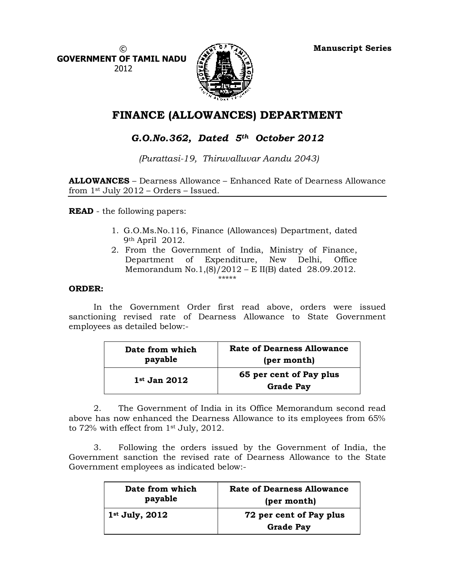Manuscript Series

 $\circled{c}$ GOVERNMENT OF TAMIL NADU 2012



# FINANCE (ALLOWANCES) DEPARTMENT

## G.O.No.362, Dated  $5<sup>th</sup>$  October 2012

(Purattasi-19, Thiruvalluvar Aandu 2043)

ALLOWANCES – Dearness Allowance – Enhanced Rate of Dearness Allowance from  $1$ <sup>st</sup> July 2012 – Orders – Issued.

READ - the following papers:

- 1. G.O.Ms.No.116, Finance (Allowances) Department, dated 9th April 2012.
- 2. From the Government of India, Ministry of Finance, Department of Expenditure, New Delhi, Office Memorandum No.1,(8)/2012 – E II(B) dated 28.09.2012. \*\*\*\*\*

#### ORDER:

In the Government Order first read above, orders were issued sanctioning revised rate of Dearness Allowance to State Government employees as detailed below:-

| Date from which | <b>Rate of Dearness Allowance</b>           |
|-----------------|---------------------------------------------|
| payable         | (per month)                                 |
| $1st$ Jan 2012  | 65 per cent of Pay plus<br><b>Grade Pay</b> |

2. The Government of India in its Office Memorandum second read above has now enhanced the Dearness Allowance to its employees from 65% to 72% with effect from 1st July, 2012.

3. Following the orders issued by the Government of India, the Government sanction the revised rate of Dearness Allowance to the State Government employees as indicated below:-

| Date from which  | <b>Rate of Dearness Allowance</b>           |
|------------------|---------------------------------------------|
| payable          | (per month)                                 |
| $1st$ July, 2012 | 72 per cent of Pay plus<br><b>Grade Pay</b> |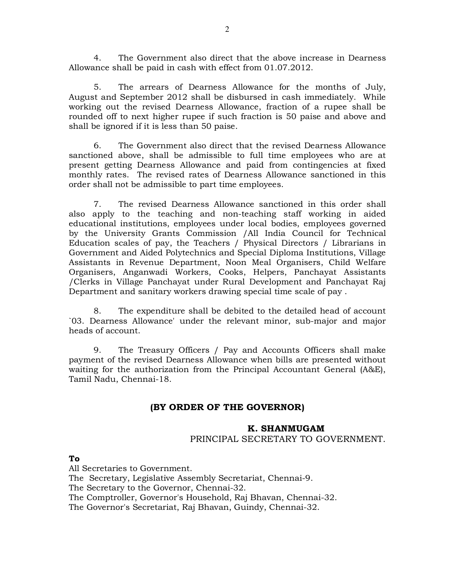4. The Government also direct that the above increase in Dearness Allowance shall be paid in cash with effect from 01.07.2012.

5. The arrears of Dearness Allowance for the months of July, August and September 2012 shall be disbursed in cash immediately. While working out the revised Dearness Allowance, fraction of a rupee shall be rounded off to next higher rupee if such fraction is 50 paise and above and shall be ignored if it is less than 50 paise.

6. The Government also direct that the revised Dearness Allowance sanctioned above, shall be admissible to full time employees who are at present getting Dearness Allowance and paid from contingencies at fixed monthly rates. The revised rates of Dearness Allowance sanctioned in this order shall not be admissible to part time employees.

7. The revised Dearness Allowance sanctioned in this order shall also apply to the teaching and non-teaching staff working in aided educational institutions, employees under local bodies, employees governed by the University Grants Commission /All India Council for Technical Education scales of pay, the Teachers / Physical Directors / Librarians in Government and Aided Polytechnics and Special Diploma Institutions, Village Assistants in Revenue Department, Noon Meal Organisers, Child Welfare Organisers, Anganwadi Workers, Cooks, Helpers, Panchayat Assistants /Clerks in Village Panchayat under Rural Development and Panchayat Raj Department and sanitary workers drawing special time scale of pay .

8. The expenditure shall be debited to the detailed head of account `03. Dearness Allowance' under the relevant minor, sub-major and major heads of account.

9. The Treasury Officers / Pay and Accounts Officers shall make payment of the revised Dearness Allowance when bills are presented without waiting for the authorization from the Principal Accountant General (A&E), Tamil Nadu, Chennai-18.

### (BY ORDER OF THE GOVERNOR)

#### K. SHANMUGAM

PRINCIPAL SECRETARY TO GOVERNMENT.

To

All Secretaries to Government.

The Secretary, Legislative Assembly Secretariat, Chennai-9.

The Secretary to the Governor, Chennai-32.

The Comptroller, Governor's Household, Raj Bhavan, Chennai-32.

The Governor's Secretariat, Raj Bhavan, Guindy, Chennai-32.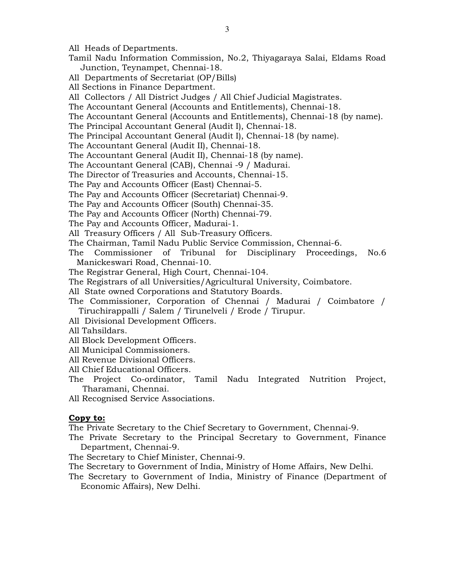All Heads of Departments.

- Tamil Nadu Information Commission, No.2, Thiyagaraya Salai, Eldams Road Junction, Teynampet, Chennai-18.
- All Departments of Secretariat (OP/Bills)
- All Sections in Finance Department.
- All Collectors / All District Judges / All Chief Judicial Magistrates.
- The Accountant General (Accounts and Entitlements), Chennai-18.
- The Accountant General (Accounts and Entitlements), Chennai-18 (by name).
- The Principal Accountant General (Audit I), Chennai-18.
- The Principal Accountant General (Audit I), Chennai-18 (by name).
- The Accountant General (Audit II), Chennai-18.
- The Accountant General (Audit II), Chennai-18 (by name).
- The Accountant General (CAB), Chennai -9 / Madurai.
- The Director of Treasuries and Accounts, Chennai-15.
- The Pay and Accounts Officer (East) Chennai-5.
- The Pay and Accounts Officer (Secretariat) Chennai-9.
- The Pay and Accounts Officer (South) Chennai-35.
- The Pay and Accounts Officer (North) Chennai-79.
- The Pay and Accounts Officer, Madurai-1.
- All Treasury Officers / All Sub-Treasury Officers.
- The Chairman, Tamil Nadu Public Service Commission, Chennai-6.
- The Commissioner of Tribunal for Disciplinary Proceedings, No.6 Manickeswari Road, Chennai-10.
- The Registrar General, High Court, Chennai-104.
- The Registrars of all Universities/Agricultural University, Coimbatore.
- All State owned Corporations and Statutory Boards.
- The Commissioner, Corporation of Chennai / Madurai / Coimbatore / Tiruchirappalli / Salem / Tirunelveli / Erode / Tirupur.
- All Divisional Development Officers.
- All Tahsildars.
- All Block Development Officers.
- All Municipal Commissioners.
- All Revenue Divisional Officers.
- All Chief Educational Officers.
- The Project Co-ordinator, Tamil Nadu Integrated Nutrition Project, Tharamani, Chennai.
- All Recognised Service Associations.

#### Copy to:

The Private Secretary to the Chief Secretary to Government, Chennai-9.

- The Private Secretary to the Principal Secretary to Government, Finance Department, Chennai-9.
- The Secretary to Chief Minister, Chennai-9.
- The Secretary to Government of India, Ministry of Home Affairs, New Delhi.
- The Secretary to Government of India, Ministry of Finance (Department of Economic Affairs), New Delhi.